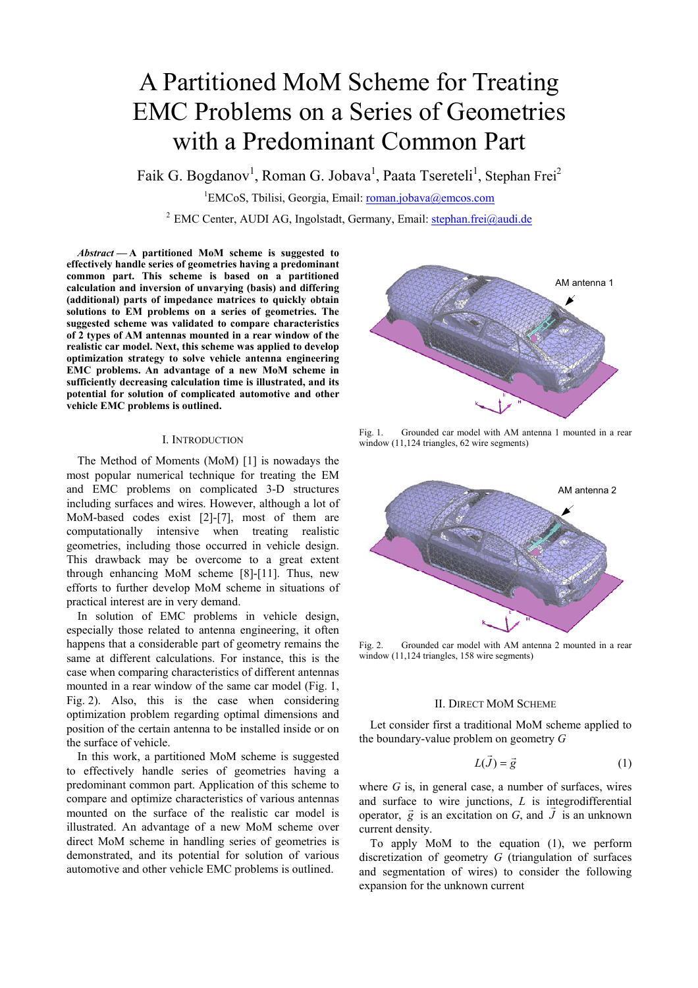# A Partitioned MoM Scheme for Treating EMC Problems on a Series of Geometries with a Predominant Common Part

Faik G. Bogdanov<sup>1</sup>, Roman G. Jobava<sup>1</sup>, Paata Tsereteli<sup>1</sup>, Stephan Frei<sup>2</sup>

<sup>1</sup>EMCoS, Tbilisi, Georgia, Email: roman.jobava@emcos.com

<sup>2</sup> EMC Center, AUDI AG, Ingolstadt, Germany, Email: stephan.frei@audi.de

*Abstract* **— A partitioned MoM scheme is suggested to effectively handle series of geometries having a predominant common part. This scheme is based on a partitioned calculation and inversion of unvarying (basis) and differing (additional) parts of impedance matrices to quickly obtain solutions to EM problems on a series of geometries. The suggested scheme was validated to compare characteristics of 2 types of AM antennas mounted in a rear window of the realistic car model. Next, this scheme was applied to develop optimization strategy to solve vehicle antenna engineering EMC problems. An advantage of a new MoM scheme in sufficiently decreasing calculation time is illustrated, and its potential for solution of complicated automotive and other vehicle EMC problems is outlined.** 

### I. INTRODUCTION

The Method of Moments (MoM) [1] is nowadays the most popular numerical technique for treating the EM and EMC problems on complicated 3-D structures including surfaces and wires. However, although a lot of MoM-based codes exist [2]-[7], most of them are computationally intensive when treating realistic geometries, including those occurred in vehicle design. This drawback may be overcome to a great extent through enhancing MoM scheme [8]-[11]. Thus, new efforts to further develop MoM scheme in situations of practical interest are in very demand.

In solution of EMC problems in vehicle design, especially those related to antenna engineering, it often happens that a considerable part of geometry remains the same at different calculations. For instance, this is the case when comparing characteristics of different antennas mounted in a rear window of the same car model (Fig. 1, Fig. 2). Also, this is the case when considering optimization problem regarding optimal dimensions and position of the certain antenna to be installed inside or on the surface of vehicle.

In this work, a partitioned MoM scheme is suggested to effectively handle series of geometries having a predominant common part. Application of this scheme to compare and optimize characteristics of various antennas mounted on the surface of the realistic car model is illustrated. An advantage of a new MoM scheme over direct MoM scheme in handling series of geometries is demonstrated, and its potential for solution of various automotive and other vehicle EMC problems is outlined.



Fig. 1. Grounded car model with AM antenna 1 mounted in a rear window (11,124 triangles, 62 wire segments)



Fig. 2. Grounded car model with AM antenna 2 mounted in a rear window (11,124 triangles, 158 wire segments)

## II. DIRECT MOM SCHEME

Let consider first a traditional MoM scheme applied to the boundary-value problem on geometry *G* 

$$
L(\vec{J}) = \vec{g} \tag{1}
$$

where *G* is, in general case, a number of surfaces, wires and surface to wire junctions,  $L$  is integrodifferential operator,  $\vec{g}$  is an excitation on *G*, and  $\vec{J}$  is an unknown current density.

To apply MoM to the equation (1), we perform discretization of geometry *G* (triangulation of surfaces and segmentation of wires) to consider the following expansion for the unknown current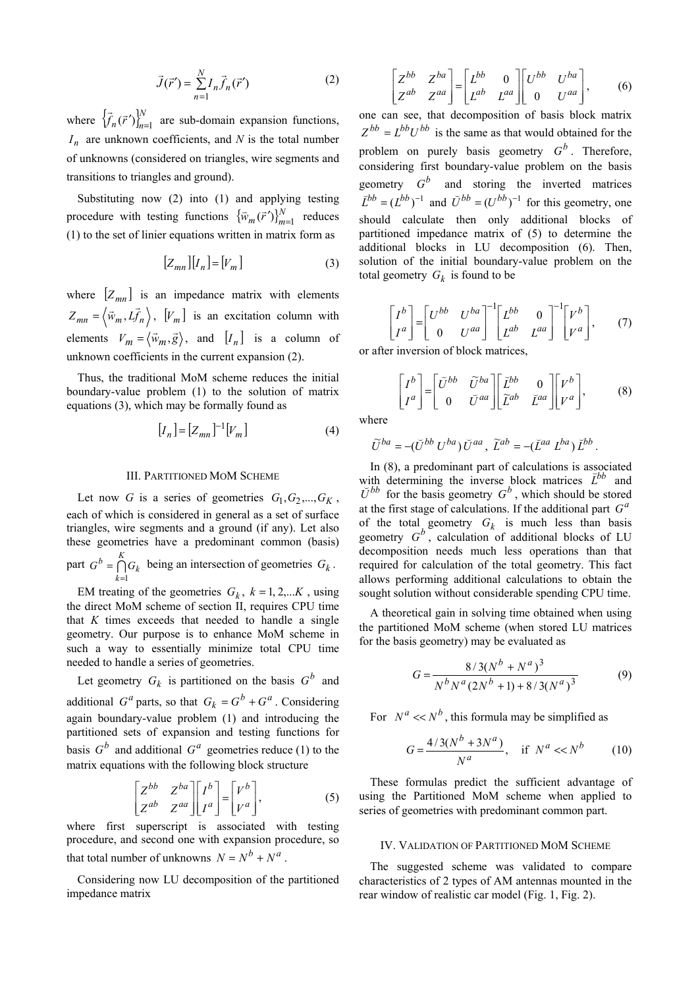$$
\vec{J}(\vec{r}') = \sum_{n=1}^{N} I_n \vec{f}_n(\vec{r}') \tag{2}
$$

where  $\left\{\vec{f}_n(\vec{r}')\right\}_{n=1}^N$  are sub-domain expansion functions,  $I_n$  are unknown coefficients, and N is the total number of unknowns (considered on triangles, wire segments and transitions to triangles and ground).

Substituting now (2) into (1) and applying testing procedure with testing functions  $\{\bar{w}_m(\vec{r}')\}_{m=1}^N$  reduces (1) to the set of linier equations written in matrix form as

$$
\left[Z_{mn}\right]\left[I_n\right]=\left[V_m\right]\tag{3}
$$

where  $[Z_{mn}]$  is an impedance matrix with elements  $Z_{mn} = \langle \vec{w}_m, L \vec{f}_n \rangle$ ,  $[V_m]$  is an excitation column with elements  $V_m = \langle \vec{w}_m, \vec{g} \rangle$ , and  $[I_n]$  is a column of unknown coefficients in the current expansion (2).

Thus, the traditional MoM scheme reduces the initial boundary-value problem (1) to the solution of matrix equations (3), which may be formally found as

$$
[I_n] = [Z_{mn}]^{-1} [V_m]
$$
 (4)

### III. PARTITIONED MOM SCHEME

Let now *G* is a series of geometries  $G_1, G_2, ..., G_K$ , each of which is considered in general as a set of surface triangles, wire segments and a ground (if any). Let also these geometries have a predominant common (basis) part  $G^b = \bigcap_{k=1}^K$ *k*  $G^b = \bigcap_{k=0}^{\infty} G_k$  being an intersection of geometries  $G_k$ .  $=1$ 

EM treating of the geometries  $G_k$ ,  $k = 1, 2,...K$ , using the direct MoM scheme of section II, requires CPU time that *K* times exceeds that needed to handle a single geometry. Our purpose is to enhance MoM scheme in such a way to essentially minimize total CPU time needed to handle a series of geometries.

Let geometry  $G_k$  is partitioned on the basis  $G^b$  and additional *G<sup>a</sup>* parts, so that  $G_k = G^b + G^a$ . Considering again boundary-value problem (1) and introducing the partitioned sets of expansion and testing functions for basis  $G^b$  and additional  $G^a$  geometries reduce (1) to the matrix equations with the following block structure

$$
\begin{bmatrix} Z^{bb} & Z^{ba} \\ Z^{ab} & Z^{aa} \end{bmatrix} \begin{bmatrix} I^b \\ I^a \end{bmatrix} = \begin{bmatrix} V^b \\ V^a \end{bmatrix},\tag{5}
$$

where first superscript is associated with testing procedure, and second one with expansion procedure, so that total number of unknowns  $N = N^b + N^a$ 

Considering now LU decomposition of the partitioned impedance matrix

$$
\begin{bmatrix} Z^{bb} & Z^{ba} \\ Z^{ab} & Z^{aa} \end{bmatrix} = \begin{bmatrix} L^{bb} & 0 \\ L^{ab} & L^{aa} \end{bmatrix} \begin{bmatrix} U^{bb} & U^{ba} \\ 0 & U^{aa} \end{bmatrix}, \quad (6)
$$

one can see, that decomposition of basis block matrix  $Z^{bb} = L^{bb}U^{bb}$  is the same as that would obtained for the problem on purely basis geometry  $G^b$ . Therefore, considering first boundary-value problem on the basis geometry  $G^b$  and storing the inverted matrices  $\overline{L}^{bb} = (L^{bb})^{-1}$  and  $\overline{U}^{bb} = (U^{bb})^{-1}$  for this geometry, one should calculate then only additional blocks of partitioned impedance matrix of (5) to determine the additional blocks in LU decomposition (6). Then, solution of the initial boundary-value problem on the total geometry  $G_k$  is found to be

$$
\begin{bmatrix} I^b \\ I^a \end{bmatrix} = \begin{bmatrix} U^{bb} & U^{ba} \\ 0 & U^{aa} \end{bmatrix}^{-1} \begin{bmatrix} L^{bb} & 0 \\ L^{ab} & L^{aa} \end{bmatrix}^{-1} \begin{bmatrix} V^b \\ V^a \end{bmatrix}, \qquad (7)
$$

or after inversion of block matrices,

$$
\begin{bmatrix} I^b \\ I^a \end{bmatrix} = \begin{bmatrix} \breve{U}^{bb} & \tilde{U}^{ba} \\ 0 & \breve{U}^{aa} \end{bmatrix} \begin{bmatrix} \breve{L}^{bb} & 0 \\ \tilde{L}^{ab} & \breve{L}^{aa} \end{bmatrix} \begin{bmatrix} V^b \\ V^a \end{bmatrix},\tag{8}
$$

where

$$
\widetilde{U}^{ba}=-(\breve{U}^{bb}\,U^{ba})\,\breve{U}^{aa}\,,\;\widetilde{L}^{ab}=-(\breve{L}^{aa}\,L^{ba})\,\breve{L}^{bb}\,.
$$

In (8), a predominant part of calculations is associated with determining the inverse block matrices  $\vec{L}^{bb}$  and  $\tilde{U}^{bb}$  for the basis geometry  $G^b$ , which should be stored at the first stage of calculations. If the additional part  $G^a$ of the total geometry  $G_k$  is much less than basis geometry  $G^b$ , calculation of additional blocks of LU decomposition needs much less operations than that required for calculation of the total geometry. This fact allows performing additional calculations to obtain the sought solution without considerable spending CPU time.

A theoretical gain in solving time obtained when using the partitioned MoM scheme (when stored LU matrices for the basis geometry) may be evaluated as

$$
G = \frac{8/3(N^{b} + N^{a})^{3}}{N^{b} N^{a} (2N^{b} + 1) + 8/3(N^{a})^{3}}
$$
(9)

For  $N^a \ll N^b$ , this formula may be simplified as

$$
G = \frac{4/3(N^b + 3N^a)}{N^a}, \quad \text{if } N^a \ll N^b \tag{10}
$$

These formulas predict the sufficient advantage of using the Partitioned MoM scheme when applied to series of geometries with predominant common part.

#### IV. VALIDATION OF PARTITIONED MOM SCHEME

The suggested scheme was validated to compare characteristics of 2 types of AM antennas mounted in the rear window of realistic car model (Fig. 1, Fig. 2).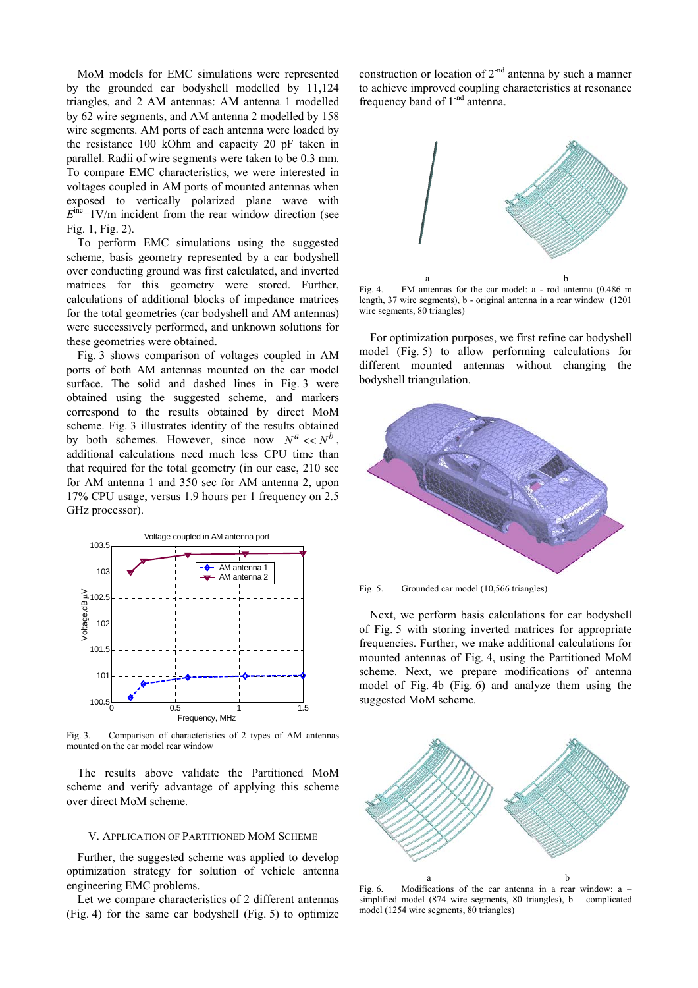MoM models for EMC simulations were represented by the grounded car bodyshell modelled by 11,124 triangles, and 2 AM antennas: AM antenna 1 modelled by 62 wire segments, and AM antenna 2 modelled by 158 wire segments. AM ports of each antenna were loaded by the resistance 100 kOhm and capacity 20 pF taken in parallel. Radii of wire segments were taken to be 0.3 mm. To compare EMC characteristics, we were interested in voltages coupled in AM ports of mounted antennas when exposed to vertically polarized plane wave with  $E<sup>inc</sup>=1V/m$  incident from the rear window direction (see Fig. 1, Fig. 2).

To perform EMC simulations using the suggested scheme, basis geometry represented by a car bodyshell over conducting ground was first calculated, and inverted matrices for this geometry were stored. Further, calculations of additional blocks of impedance matrices for the total geometries (car bodyshell and AM antennas) were successively performed, and unknown solutions for these geometries were obtained.

Fig. 3 shows comparison of voltages coupled in AM ports of both AM antennas mounted on the car model surface. The solid and dashed lines in Fig. 3 were obtained using the suggested scheme, and markers correspond to the results obtained by direct MoM scheme. Fig. 3 illustrates identity of the results obtained by both schemes. However, since now  $N^a \ll N^b$ , additional calculations need much less CPU time than that required for the total geometry (in our case, 210 sec for AM antenna 1 and 350 sec for AM antenna 2, upon 17% CPU usage, versus 1.9 hours per 1 frequency on 2.5 GHz processor).



Fig. 3. Comparison of characteristics of 2 types of AM antennas mounted on the car model rear window

The results above validate the Partitioned MoM scheme and verify advantage of applying this scheme over direct MoM scheme.

#### V. APPLICATION OF PARTITIONED MOM SCHEME

Further, the suggested scheme was applied to develop optimization strategy for solution of vehicle antenna engineering EMC problems.

Let we compare characteristics of 2 different antennas (Fig. 4) for the same car bodyshell (Fig. 5) to optimize construction or location of  $2<sup>nd</sup>$  antenna by such a manner to achieve improved coupling characteristics at resonance frequency band of 1-nd antenna.



Fig. 4. FM antennas for the car model: a - rod antenna (0.486 m length, 37 wire segments), b - original antenna in a rear window (1201 wire segments, 80 triangles)

For optimization purposes, we first refine car bodyshell model (Fig. 5) to allow performing calculations for different mounted antennas without changing the bodyshell triangulation.



Fig. 5. Grounded car model (10,566 triangles)

Next, we perform basis calculations for car bodyshell of Fig. 5 with storing inverted matrices for appropriate frequencies. Further, we make additional calculations for mounted antennas of Fig. 4, using the Partitioned MoM scheme. Next, we prepare modifications of antenna model of Fig. 4b (Fig. 6) and analyze them using the suggested MoM scheme.



Fig. 6. Modifications of the car antenna in a rear window: a – simplified model (874 wire segments, 80 triangles), b – complicated model (1254 wire segments, 80 triangles)